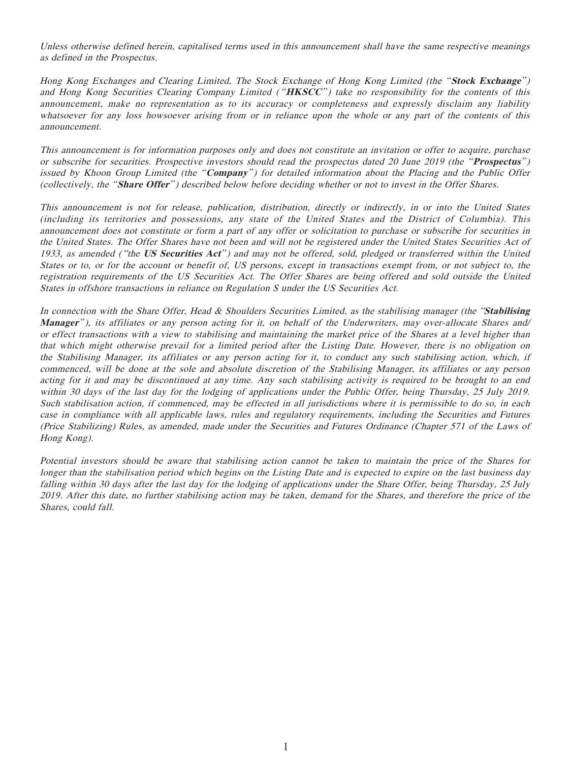Unless otherwise defined herein, capitalised terms used in this announcement shall have the same respective meanings as defined in the Prospectus.

Hong Kong Exchanges and Clearing Limited, The Stock Exchange of Hong Kong Limited (the " **Stock Exchange**" ) and Hong Kong Securities Clearing Company Limited ("HKSCC") take no responsibility for the contents of this announcement, make no representation as to its accuracy or completeness and expressly disclaim any liability whatsoever for any loss howsoever arising from or in reliance upon the whole or any part of the contents of this announcement.

This announcement is for information purposes only and does not constitute an invitation or offer to acquire, purchase or subscribe for securities. Prospective investors should read the prospectus dated 20 June 2019 (the "**Prospectus**" ) issued by Khoon Group Limited (the "**Company**") for detailed information about the Placing and the Public Offer (collectively, the " **Share Offer**" ) described below before deciding whether or not to invest in the Offer Shares.

This announcement is not for release, publication, distribution, directly or indirectly, in or into the United States (including its territories and possessions, any state of the United States and the District of Columbia). This announcement does not constitute or form a part of any offer or solicitation to purchase or subscribe for securities in the United States. The Offer Shares have not been and will not be registered under the United States Securities Act of 1933, as amended ( "the **US Securities Act**" ) and may not be offered, sold, pledged or transferred within the United States or to, or for the account or benefit of, US persons, except in transactions exempt from, or not subject to, the registration requirements of the US Securities Act. The Offer Shares are being offered and sold outside the United States in offshore transactions in reliance on Regulation S under the US Securities Act.

In connection with the Share Offer, Head & Shoulders Securities Limited, as the stabilising manager (the "**Stabilising Manager**" ), its affiliates or any person acting for it, on behalf of the Underwriters, may over-allocate Shares and/ or effect transactions with a view to stabilising and maintaining the market price of the Shares at a level higher than that which might otherwise prevail for a limited period after the Listing Date. However, there is no obligation on the Stabilising Manager, its affiliates or any person acting for it, to conduct any such stabilising action, which, if commenced, will be done at the sole and absolute discretion of the Stabilising Manager, its affiliates or any person acting for it and may be discontinued at any time. Any such stabilising activity is required to be brought to an end within 30 days of the last day for the lodging of applications under the Public Offer, being Thursday, 25 July 2019. Such stabilisation action, if commenced, may be effected in all jurisdictions where it is permissible to do so, in each case in compliance with all applicable laws, rules and regulatory requirements, including the Securities and Futures (Price Stabilizing) Rules, as amended, made under the Securities and Futures Ordinance (Chapter 571 of the Laws of Hong Kong).

Potential investors should be aware that stabilising action cannot be taken to maintain the price of the Shares for longer than the stabilisation period which begins on the Listing Date and is expected to expire on the last business day falling within 30 days after the last day for the lodging of applications under the Share Offer, being Thursday, 25 July 2019. After this date, no further stabilising action may be taken, demand for the Shares, and therefore the price of the Shares, could fall.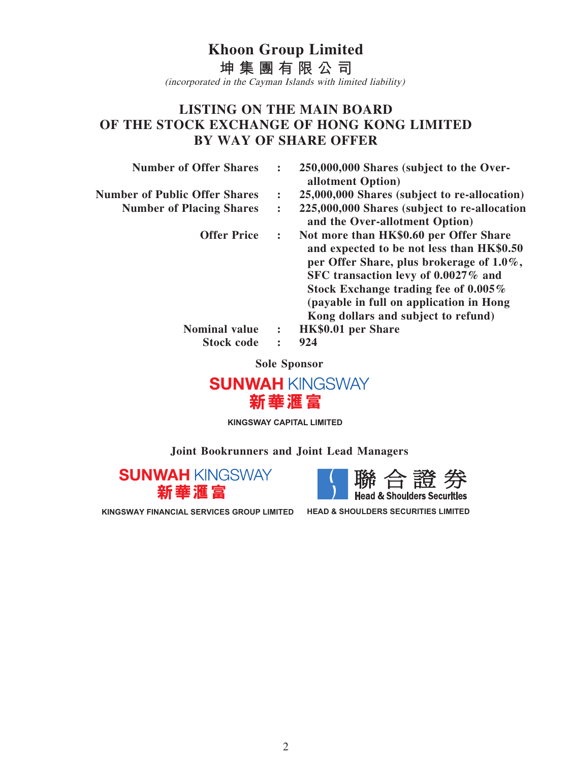## **Khoon Group Limited 坤集團有限公司** (incorporated in the Cayman Islands with limited liability)

## **LISTING ON THE MAIN BOARD OF THE STOCK EXCHANGE OF HONG KONG LIMITED BY WAY OF SHARE OFFER**

| <b>Number of Offer Shares</b>        | $\ddot{\cdot}$       | 250,000,000 Shares (subject to the Over-<br>allotment Option)                                                                                                                                                                                                                                    |
|--------------------------------------|----------------------|--------------------------------------------------------------------------------------------------------------------------------------------------------------------------------------------------------------------------------------------------------------------------------------------------|
| <b>Number of Public Offer Shares</b> | $\ddot{\cdot}$       | 25,000,000 Shares (subject to re-allocation)                                                                                                                                                                                                                                                     |
| <b>Number of Placing Shares</b>      | $\ddot{\cdot}$       | 225,000,000 Shares (subject to re-allocation<br>and the Over-allotment Option)                                                                                                                                                                                                                   |
| <b>Offer Price</b>                   | $\ddot{\phantom{a}}$ | Not more than HK\$0.60 per Offer Share<br>and expected to be not less than HK\$0.50<br>per Offer Share, plus brokerage of 1.0%,<br>SFC transaction levy of 0.0027% and<br>Stock Exchange trading fee of 0.005%<br>(payable in full on application in Hong<br>Kong dollars and subject to refund) |
| <b>Nominal value</b>                 | :                    | HK\$0.01 per Share                                                                                                                                                                                                                                                                               |
| <b>Stock code</b>                    | $\ddot{\phantom{a}}$ | 924                                                                                                                                                                                                                                                                                              |

**Sole Sponsor**



**KINGSWAY CAPITAL LIMITED**

## **Joint Bookrunners and Joint Lead Managers**

**SUNWAH KINGSWAY** 新華滙富



**KINGSWAY FINANCIAL SERVICES GROUP LIMITED HEAD & SHOULDERS SECURITIES LIMITED**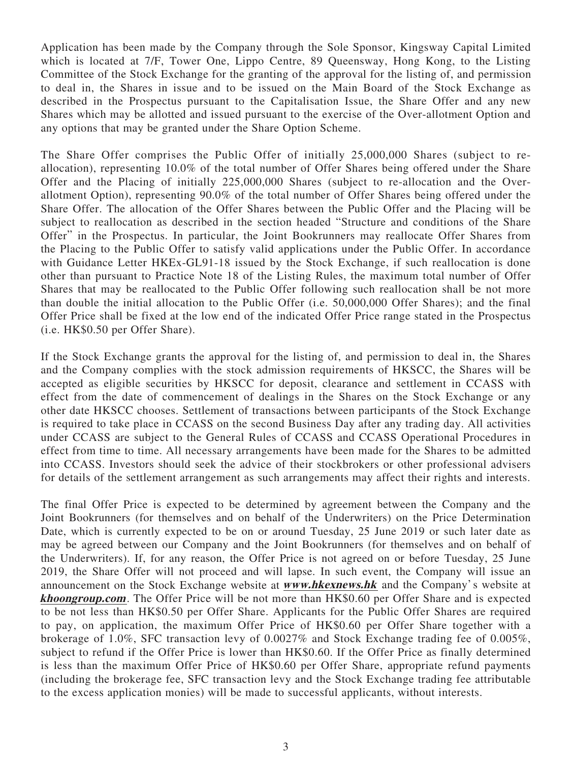Application has been made by the Company through the Sole Sponsor, Kingsway Capital Limited which is located at 7/F, Tower One, Lippo Centre, 89 Queensway, Hong Kong, to the Listing Committee of the Stock Exchange for the granting of the approval for the listing of, and permission to deal in, the Shares in issue and to be issued on the Main Board of the Stock Exchange as described in the Prospectus pursuant to the Capitalisation Issue, the Share Offer and any new Shares which may be allotted and issued pursuant to the exercise of the Over-allotment Option and any options that may be granted under the Share Option Scheme.

The Share Offer comprises the Public Offer of initially 25,000,000 Shares (subject to reallocation), representing 10.0% of the total number of Offer Shares being offered under the Share Offer and the Placing of initially 225,000,000 Shares (subject to re-allocation and the Overallotment Option), representing 90.0% of the total number of Offer Shares being offered under the Share Offer. The allocation of the Offer Shares between the Public Offer and the Placing will be subject to reallocation as described in the section headed "Structure and conditions of the Share Offer" in the Prospectus. In particular, the Joint Bookrunners may reallocate Offer Shares from the Placing to the Public Offer to satisfy valid applications under the Public Offer. In accordance with Guidance Letter HKEx-GL91-18 issued by the Stock Exchange, if such reallocation is done other than pursuant to Practice Note 18 of the Listing Rules, the maximum total number of Offer Shares that may be reallocated to the Public Offer following such reallocation shall be not more than double the initial allocation to the Public Offer (i.e. 50,000,000 Offer Shares); and the final Offer Price shall be fixed at the low end of the indicated Offer Price range stated in the Prospectus (i.e. HK\$0.50 per Offer Share).

If the Stock Exchange grants the approval for the listing of, and permission to deal in, the Shares and the Company complies with the stock admission requirements of HKSCC, the Shares will be accepted as eligible securities by HKSCC for deposit, clearance and settlement in CCASS with effect from the date of commencement of dealings in the Shares on the Stock Exchange or any other date HKSCC chooses. Settlement of transactions between participants of the Stock Exchange is required to take place in CCASS on the second Business Day after any trading day. All activities under CCASS are subject to the General Rules of CCASS and CCASS Operational Procedures in effect from time to time. All necessary arrangements have been made for the Shares to be admitted into CCASS. Investors should seek the advice of their stockbrokers or other professional advisers for details of the settlement arrangement as such arrangements may affect their rights and interests.

The final Offer Price is expected to be determined by agreement between the Company and the Joint Bookrunners (for themselves and on behalf of the Underwriters) on the Price Determination Date, which is currently expected to be on or around Tuesday, 25 June 2019 or such later date as may be agreed between our Company and the Joint Bookrunners (for themselves and on behalf of the Underwriters). If, for any reason, the Offer Price is not agreed on or before Tuesday, 25 June 2019, the Share Offer will not proceed and will lapse. In such event, the Company will issue an announcement on the Stock Exchange website at **www.hkexnews.hk** and the Company's website at **khoongroup.com**. The Offer Price will be not more than HK\$0.60 per Offer Share and is expected to be not less than HK\$0.50 per Offer Share. Applicants for the Public Offer Shares are required to pay, on application, the maximum Offer Price of HK\$0.60 per Offer Share together with a brokerage of 1.0%, SFC transaction levy of 0.0027% and Stock Exchange trading fee of 0.005%, subject to refund if the Offer Price is lower than HK\$0.60. If the Offer Price as finally determined is less than the maximum Offer Price of HK\$0.60 per Offer Share, appropriate refund payments (including the brokerage fee, SFC transaction levy and the Stock Exchange trading fee attributable to the excess application monies) will be made to successful applicants, without interests.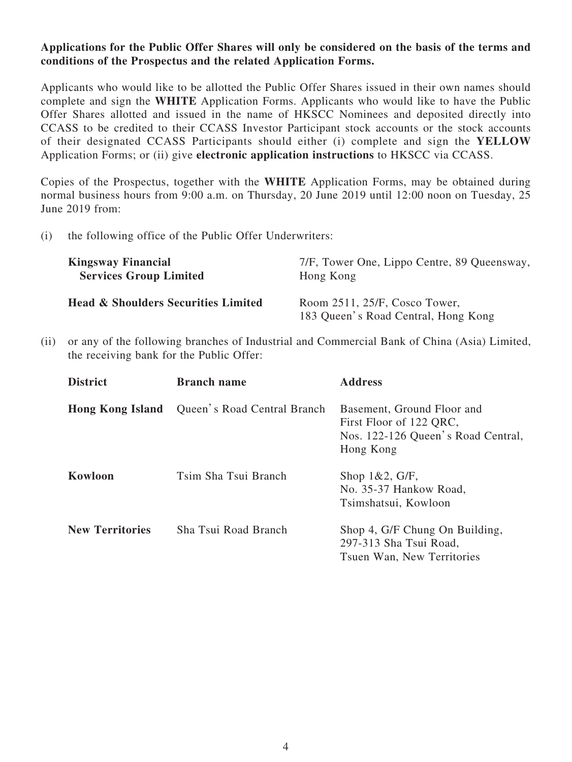## **Applications for the Public Offer Shares will only be considered on the basis of the terms and conditions of the Prospectus and the related Application Forms.**

Applicants who would like to be allotted the Public Offer Shares issued in their own names should complete and sign the **WHITE** Application Forms. Applicants who would like to have the Public Offer Shares allotted and issued in the name of HKSCC Nominees and deposited directly into CCASS to be credited to their CCASS Investor Participant stock accounts or the stock accounts of their designated CCASS Participants should either (i) complete and sign the **YELLOW** Application Forms; or (ii) give **electronic application instructions** to HKSCC via CCASS.

Copies of the Prospectus, together with the **WHITE** Application Forms, may be obtained during normal business hours from 9:00 a.m. on Thursday, 20 June 2019 until 12:00 noon on Tuesday, 25 June 2019 from:

(i) the following office of the Public Offer Underwriters:

| <b>Kingsway Financial</b>                      | 7/F, Tower One, Lippo Centre, 89 Queensway,                          |
|------------------------------------------------|----------------------------------------------------------------------|
| <b>Services Group Limited</b>                  | Hong Kong                                                            |
| <b>Head &amp; Shoulders Securities Limited</b> | Room 2511, 25/F, Cosco Tower,<br>183 Queen's Road Central, Hong Kong |

(ii) or any of the following branches of Industrial and Commercial Bank of China (Asia) Limited, the receiving bank for the Public Offer:

| <b>District</b>         | <b>Branch name</b>          | <b>Address</b>                                                                                           |
|-------------------------|-----------------------------|----------------------------------------------------------------------------------------------------------|
| <b>Hong Kong Island</b> | Queen's Road Central Branch | Basement, Ground Floor and<br>First Floor of 122 QRC,<br>Nos. 122-126 Queen's Road Central,<br>Hong Kong |
| Kowloon                 | Tsim Sha Tsui Branch        | Shop $1&2, G/F$ ,<br>No. 35-37 Hankow Road,<br>Tsimshatsui, Kowloon                                      |
| <b>New Territories</b>  | Sha Tsui Road Branch        | Shop 4, G/F Chung On Building,<br>297-313 Sha Tsui Road,<br>Tsuen Wan, New Territories                   |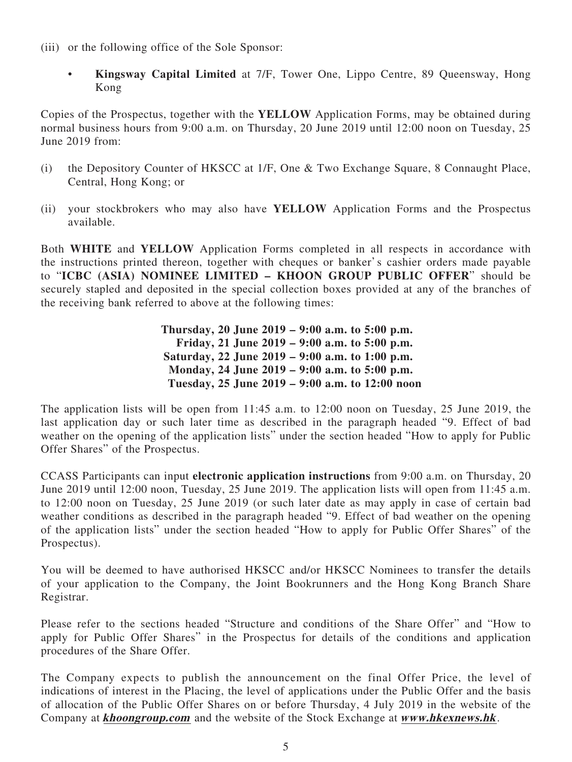- (iii) or the following office of the Sole Sponsor:
	- **Kingsway Capital Limited** at 7/F, Tower One, Lippo Centre, 89 Queensway, Hong Kong

Copies of the Prospectus, together with the **YELLOW** Application Forms, may be obtained during normal business hours from 9:00 a.m. on Thursday, 20 June 2019 until 12:00 noon on Tuesday, 25 June 2019 from:

- (i) the Depository Counter of HKSCC at 1/F, One & Two Exchange Square, 8 Connaught Place, Central, Hong Kong; or
- (ii) your stockbrokers who may also have **YELLOW** Application Forms and the Prospectus available.

Both **WHITE** and **YELLOW** Application Forms completed in all respects in accordance with the instructions printed thereon, together with cheques or banker's cashier orders made payable to "**ICBC (ASIA) NOMINEE LIMITED – KHOON GROUP PUBLIC OFFER**" should be securely stapled and deposited in the special collection boxes provided at any of the branches of the receiving bank referred to above at the following times:

> **Thursday, 20 June 2019 – 9:00 a.m. to 5:00 p.m. Friday, 21 June 2019 – 9:00 a.m. to 5:00 p.m. Saturday, 22 June 2019 – 9:00 a.m. to 1:00 p.m. Monday, 24 June 2019 – 9:00 a.m. to 5:00 p.m. Tuesday, 25 June 2019 – 9:00 a.m. to 12:00 noon**

The application lists will be open from 11:45 a.m. to 12:00 noon on Tuesday, 25 June 2019, the last application day or such later time as described in the paragraph headed "9. Effect of bad weather on the opening of the application lists" under the section headed "How to apply for Public Offer Shares" of the Prospectus.

CCASS Participants can input **electronic application instructions** from 9:00 a.m. on Thursday, 20 June 2019 until 12:00 noon, Tuesday, 25 June 2019. The application lists will open from 11:45 a.m. to 12:00 noon on Tuesday, 25 June 2019 (or such later date as may apply in case of certain bad weather conditions as described in the paragraph headed "9. Effect of bad weather on the opening of the application lists" under the section headed "How to apply for Public Offer Shares" of the Prospectus).

You will be deemed to have authorised HKSCC and/or HKSCC Nominees to transfer the details of your application to the Company, the Joint Bookrunners and the Hong Kong Branch Share Registrar.

Please refer to the sections headed "Structure and conditions of the Share Offer" and "How to apply for Public Offer Shares" in the Prospectus for details of the conditions and application procedures of the Share Offer.

The Company expects to publish the announcement on the final Offer Price, the level of indications of interest in the Placing, the level of applications under the Public Offer and the basis of allocation of the Public Offer Shares on or before Thursday, 4 July 2019 in the website of the Company at **khoongroup.com** and the website of the Stock Exchange at **www.hkexnews.hk**.